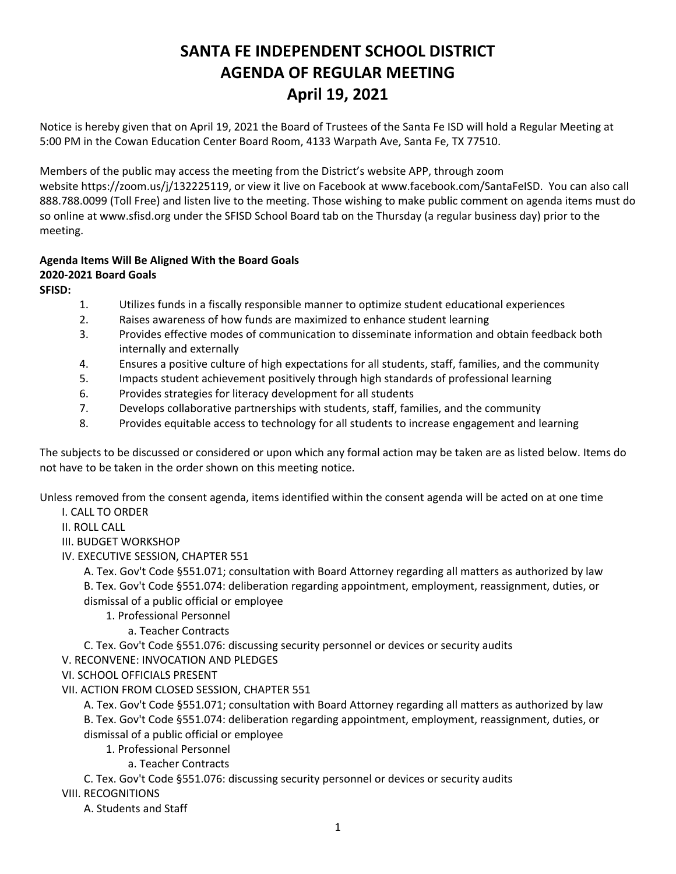## **SANTA FE INDEPENDENT SCHOOL DISTRICT AGENDA OF REGULAR MEETING April 19, 2021**

Notice is hereby given that on April 19, 2021 the Board of Trustees of the Santa Fe ISD will hold a Regular Meeting at 5:00 PM in the Cowan Education Center Board Room, 4133 Warpath Ave, Santa Fe, TX 77510.

Members of the public may access the meeting from the District's website APP, through zoom website <https://zoom.us/j/132225119>, or view it live on Facebook at [www.facebook.com/SantaFeISD](http://www.facebook.com/SantaFeISD). You can also call 888.788.0099 (Toll Free) and listen live to the meeting. Those wishing to make public comment on agenda items must do so online at www.sfisd.org under the SFISD School Board tab on the Thursday (a regular business day) prior to the meeting.

## **Agenda Items Will Be Aligned With the Board Goals 2020-2021 Board Goals**

**SFISD:** 

- 1. Utilizes funds in a fiscally responsible manner to optimize student educational experiences
- 2. Raises awareness of how funds are maximized to enhance student learning
- 3. Provides effective modes of communication to disseminate information and obtain feedback both internally and externally
- 4. Ensures a positive culture of high expectations for all students, staff, families, and the community
- 5. Impacts student achievement positively through high standards of professional learning
- 6. Provides strategies for literacy development for all students
- 7. Develops collaborative partnerships with students, staff, families, and the community
- 8. Provides equitable access to technology for all students to increase engagement and learning

The subjects to be discussed or considered or upon which any formal action may be taken are as listed below. Items do not have to be taken in the order shown on this meeting notice.

Unless removed from the consent agenda, items identified within the consent agenda will be acted on at one time I. CALL TO ORDER

II. ROLL CALL

- III. BUDGET WORKSHOP
- IV. EXECUTIVE SESSION, CHAPTER 551

A. Tex. Gov't Code §551.071; consultation with Board Attorney regarding all matters as authorized by law B. Tex. Gov't Code §551.074: deliberation regarding appointment, employment, reassignment, duties, or dismissal of a public official or employee

- 1. Professional Personnel
	- a. Teacher Contracts

C. Tex. Gov't Code §551.076: discussing security personnel or devices or security audits

- V. RECONVENE: INVOCATION AND PLEDGES
- VI. SCHOOL OFFICIALS PRESENT
- VII. ACTION FROM CLOSED SESSION, CHAPTER 551

A. Tex. Gov't Code §551.071; consultation with Board Attorney regarding all matters as authorized by law B. Tex. Gov't Code §551.074: deliberation regarding appointment, employment, reassignment, duties, or dismissal of a public official or employee

- 1. Professional Personnel
	- a. Teacher Contracts

C. Tex. Gov't Code §551.076: discussing security personnel or devices or security audits

VIII. RECOGNITIONS

A. Students and Staff